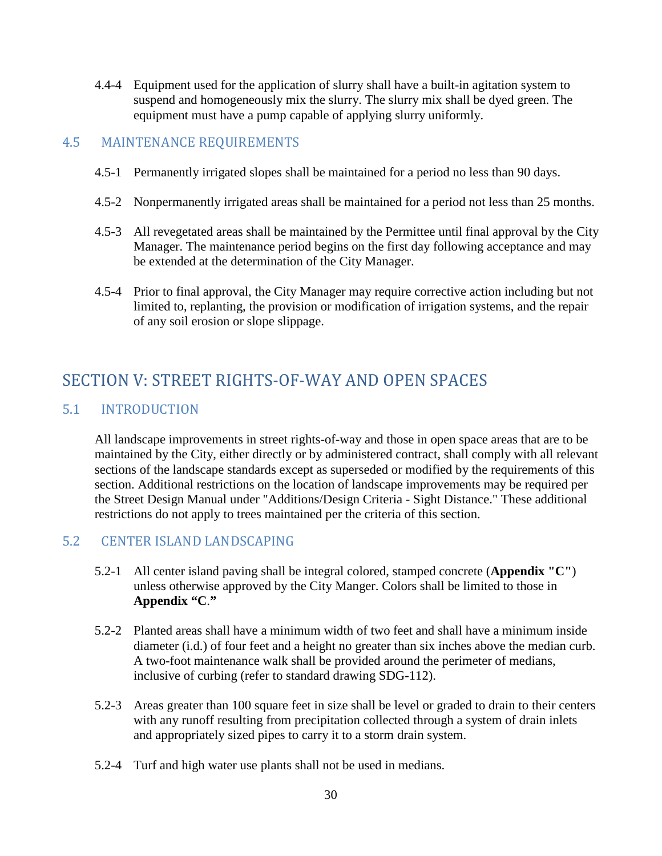4.4-4 Equipment used for the application of slurry shall have a built-in agitation system to suspend and homogeneously mix the slurry. The slurry mix shall be dyed green. The equipment must have a pump capable of applying slurry uniformly.

## 4.5 MAINTENANCE REQUIREMENTS

- 4.5-1 Permanently irrigated slopes shall be maintained for a period no less than 90 days.
- 4.5-2 Nonpermanently irrigated areas shall be maintained for a period not less than 25 months.
- 4.5-3 All revegetated areas shall be maintained by the Permittee until final approval by the City Manager. The maintenance period begins on the first day following acceptance and may be extended at the determination of the City Manager.
- 4.5-4 Prior to final approval, the City Manager may require corrective action including but not limited to, replanting, the provision or modification of irrigation systems, and the repair of any soil erosion or slope slippage.

# SECTION V: STREET RIGHTS-OF-WAY AND OPEN SPACES

### 5.1 INTRODUCTION

All landscape improvements in street rights-of-way and those in open space areas that are to be maintained by the City, either directly or by administered contract, shall comply with all relevant sections of the landscape standards except as superseded or modified by the requirements of this section. Additional restrictions on the location of landscape improvements may be required per the Street Design Manual under "Additions/Design Criteria - Sight Distance." These additional restrictions do not apply to trees maintained per the criteria of this section.

#### 5.2 CENTER ISLAND LANDSCAPING

- 5.2-1 All center island paving shall be integral colored, stamped concrete (**Appendix "C"**) unless otherwise approved by the City Manger. Colors shall be limited to those in **Appendix "C**.**"**
- 5.2-2 Planted areas shall have a minimum width of two feet and shall have a minimum inside diameter (i.d.) of four feet and a height no greater than six inches above the median curb. A two-foot maintenance walk shall be provided around the perimeter of medians, inclusive of curbing (refer to standard drawing SDG-112).
- 5.2-3 Areas greater than 100 square feet in size shall be level or graded to drain to their centers with any runoff resulting from precipitation collected through a system of drain inlets and appropriately sized pipes to carry it to a storm drain system.
- 5.2-4 Turf and high water use plants shall not be used in medians.